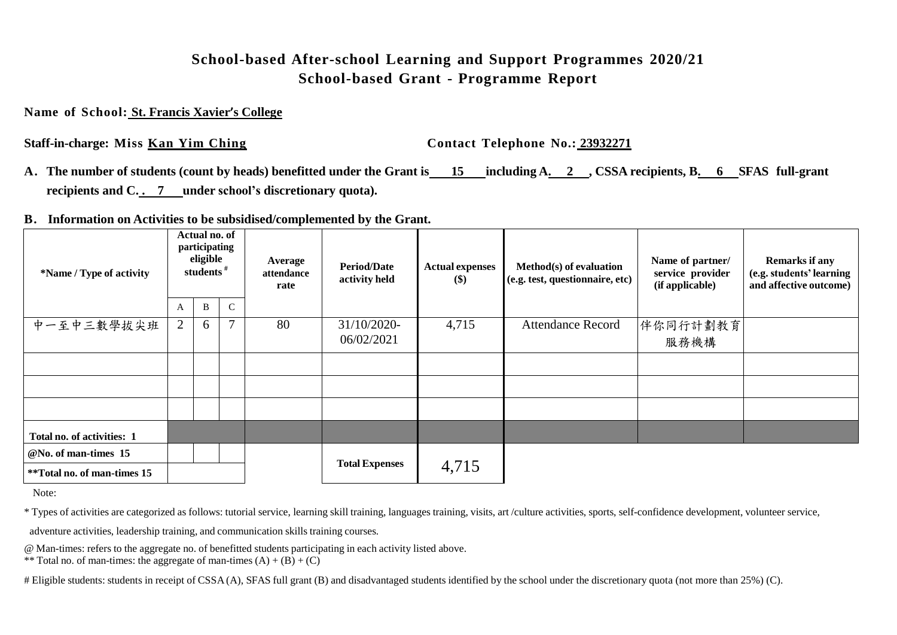#### **School-based After-school Learning and Support Programmes 2020/21 School-based Grant - Programme Report**

#### **Name of School: St. Francis Xavier's College**

**Staff-in-charge:** Miss Kan Yim Ching<br> **Contact** Telephone No.: 23932271

- **A. The number of students (count by heads) benefitted under the Grant is 15 including A. 2 , CSSA recipients, B. 6 SFAS full-grant recipients and C. . 7 under school's discretionary quota).**
- **B. Information on Activities to be subsidised/complemented by the Grant.**

| *Name / Type of activity    | Actual no. of<br>participating<br>eligible<br>students <sup>#</sup> |   |              | Average<br>attendance<br>rate | <b>Period/Date</b><br>activity held | <b>Actual expenses</b><br><b>(\$)</b> | Method(s) of evaluation<br>(e.g. test, questionnaire, etc) | Name of partner/<br>service provider<br>(if applicable) | <b>Remarks if any</b><br>(e.g. students' learning<br>and affective outcome) |  |
|-----------------------------|---------------------------------------------------------------------|---|--------------|-------------------------------|-------------------------------------|---------------------------------------|------------------------------------------------------------|---------------------------------------------------------|-----------------------------------------------------------------------------|--|
|                             | A                                                                   | B | $\mathsf{C}$ |                               |                                     |                                       |                                                            |                                                         |                                                                             |  |
| 中一至中三數學拔尖班                  | $\overline{2}$                                                      | 6 | $\mathbf{r}$ | 80                            | 31/10/2020-<br>06/02/2021           | 4,715                                 | <b>Attendance Record</b>                                   | 伴你同行計劃教育<br>服務機構                                        |                                                                             |  |
|                             |                                                                     |   |              |                               |                                     |                                       |                                                            |                                                         |                                                                             |  |
|                             |                                                                     |   |              |                               |                                     |                                       |                                                            |                                                         |                                                                             |  |
|                             |                                                                     |   |              |                               |                                     |                                       |                                                            |                                                         |                                                                             |  |
| Total no. of activities: 1  |                                                                     |   |              |                               |                                     |                                       |                                                            |                                                         |                                                                             |  |
| @No. of man-times 15        |                                                                     |   |              |                               |                                     |                                       |                                                            |                                                         |                                                                             |  |
| **Total no. of man-times 15 |                                                                     |   |              |                               | <b>Total Expenses</b>               | 4,715                                 |                                                            |                                                         |                                                                             |  |

Note:

\* Types of activities are categorized as follows: tutorial service, learning skill training, languages training, visits, art /culture activities, sports, self-confidence development, volunteer service,

adventure activities, leadership training, and communication skills training courses.

@ Man-times: refers to the aggregate no. of benefitted students participating in each activity listed above.

\*\* Total no. of man-times: the aggregate of man-times  $(A) + (B) + (C)$ 

# Eligible students: students in receipt of CSSA(A), SFAS full grant (B) and disadvantaged students identified by the school under the discretionary quota (not more than 25%) (C).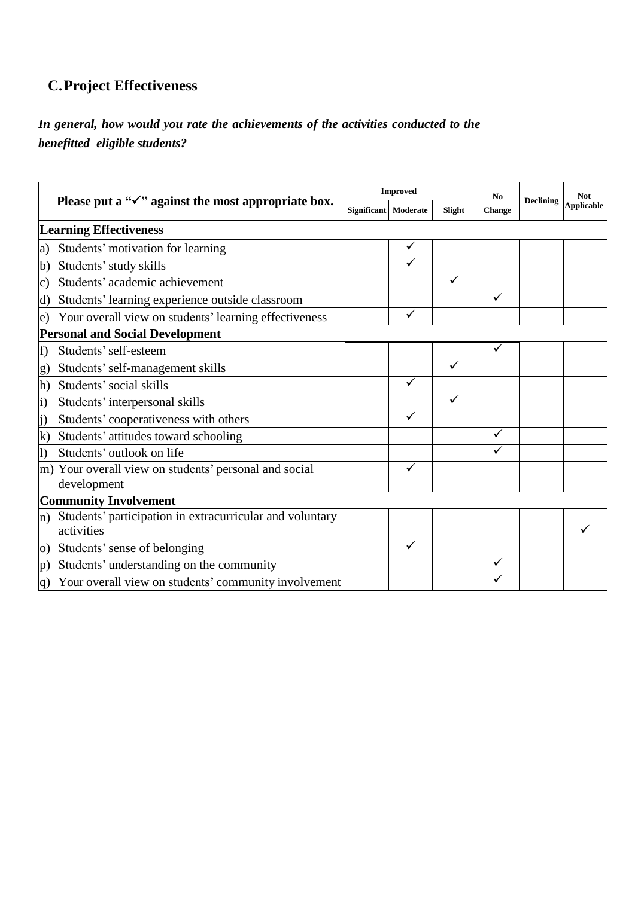# **C.Project Effectiveness**

## *In general, how would you rate the achievements of the activities conducted to the benefitted eligible students?*

|               |                                                                        |                      | <b>Improved</b> |        | N <sub>0</sub><br>Change | <b>Declining</b> | <b>Not</b><br><b>Applicable</b> |
|---------------|------------------------------------------------------------------------|----------------------|-----------------|--------|--------------------------|------------------|---------------------------------|
|               | Please put a " $\checkmark$ " against the most appropriate box.        | Significant Moderate |                 | Slight |                          |                  |                                 |
|               | <b>Learning Effectiveness</b>                                          |                      |                 |        |                          |                  |                                 |
| a)            | Students' motivation for learning                                      |                      | ✓               |        |                          |                  |                                 |
| $\mathbf{b}$  | Students' study skills                                                 |                      |                 |        |                          |                  |                                 |
| $\mathbf{c})$ | Students' academic achievement                                         |                      |                 | ✓      |                          |                  |                                 |
| $\rm(d)$      | Students' learning experience outside classroom                        |                      |                 |        | ✓                        |                  |                                 |
| e)            | Your overall view on students' learning effectiveness                  |                      | $\checkmark$    |        |                          |                  |                                 |
|               | <b>Personal and Social Development</b>                                 |                      |                 |        |                          |                  |                                 |
| f)            | Students' self-esteem                                                  |                      |                 |        | ✓                        |                  |                                 |
| g)            | Students' self-management skills                                       |                      |                 | ✓      |                          |                  |                                 |
| $\mathbf{h}$  | Students' social skills                                                |                      |                 |        |                          |                  |                                 |
| $\ket{i}$     | Students' interpersonal skills                                         |                      |                 | ✓      |                          |                  |                                 |
| $\mathbf{i}$  | Students' cooperativeness with others                                  |                      |                 |        |                          |                  |                                 |
| $\bf k)$      | Students' attitudes toward schooling                                   |                      |                 |        | ✓                        |                  |                                 |
|               | Students' outlook on life                                              |                      |                 |        | ✓                        |                  |                                 |
|               | m) Your overall view on students' personal and social<br>development   |                      | ✓               |        |                          |                  |                                 |
|               | <b>Community Involvement</b>                                           |                      |                 |        |                          |                  |                                 |
| n)            | Students' participation in extracurricular and voluntary<br>activities |                      |                 |        |                          |                  |                                 |
| O)            | Students' sense of belonging                                           |                      | ✓               |        |                          |                  |                                 |
| p)            | Students' understanding on the community                               |                      |                 |        | ✓                        |                  |                                 |
|               | q) Your overall view on students' community involvement                |                      |                 |        |                          |                  |                                 |